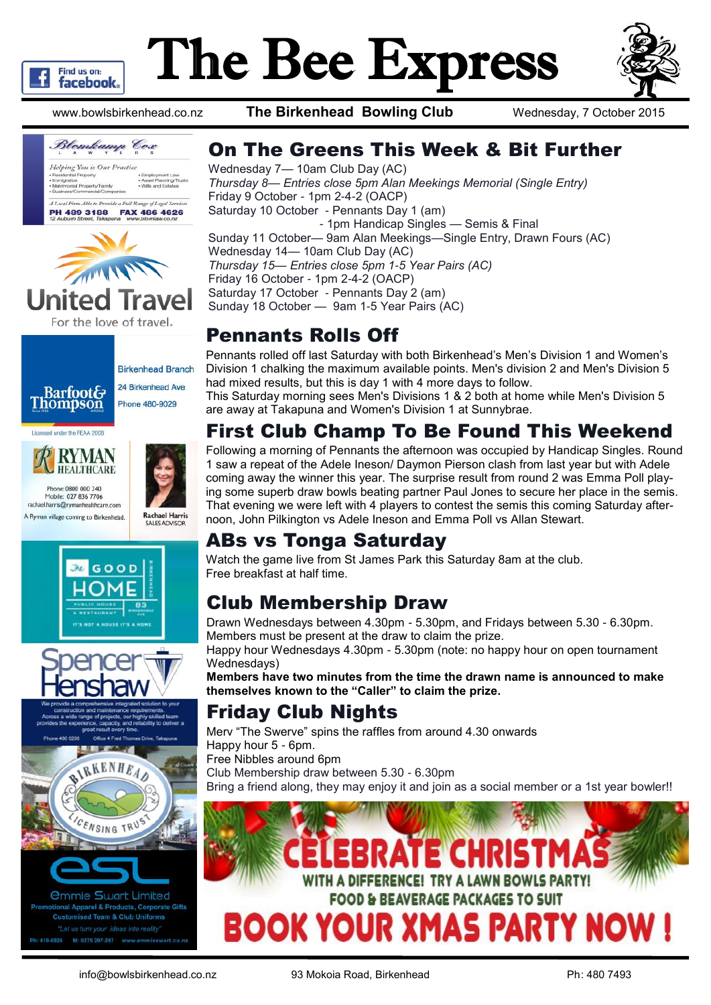

# The Bee Express





United For the love of travel.



**Birkenhead Branch** 24 Birkenhead Ave Phone 480-9029

Licensed under the REAA 2008













*<u>Ommie Swart Limited</u>* nal Apparel & Products, Corporate Gifts **Customised Team & Club Uniforms** Ph: 419-0926 M: 0275 297-297 www.em

www.bowlsbirkenhead.co.nz **The Birkenhead Bowling Club** Wednesday, 7 October 2015

#### On The Greens This Week & Bit Further

Wednesday 7— 10am Club Day (AC) *Thursday 8— Entries close 5pm Alan Meekings Memorial (Single Entry)* Friday 9 October - 1pm 2-4-2 (OACP) Saturday 10 October - Pennants Day 1 (am) - 1pm Handicap Singles — Semis & Final Sunday 11 October— 9am Alan Meekings—Single Entry, Drawn Fours (AC) Wednesday 14— 10am Club Day (AC) *Thursday 15— Entries close 5pm 1-5 Year Pairs (AC)*  Friday 16 October - 1pm 2-4-2 (OACP) Saturday 17 October - Pennants Day 2 (am) Sunday 18 October — 9am 1-5 Year Pairs (AC)

#### Pennants Rolls Off

Pennants rolled off last Saturday with both Birkenhead's Men's Division 1 and Women's Division 1 chalking the maximum available points. Men's division 2 and Men's Division 5 had mixed results, but this is day 1 with 4 more days to follow.

This Saturday morning sees Men's Divisions 1 & 2 both at home while Men's Division 5 are away at Takapuna and Women's Division 1 at Sunnybrae.

### First Club Champ To Be Found This Weekend

Following a morning of Pennants the afternoon was occupied by Handicap Singles. Round 1 saw a repeat of the Adele Ineson/ Daymon Pierson clash from last year but with Adele coming away the winner this year. The surprise result from round 2 was Emma Poll playing some superb draw bowls beating partner Paul Jones to secure her place in the semis. That evening we were left with 4 players to contest the semis this coming Saturday afternoon, John Pilkington vs Adele Ineson and Emma Poll vs Allan Stewart.

#### ABs vs Tonga Saturday

Watch the game live from St James Park this Saturday 8am at the club. Free breakfast at half time.

#### Club Membership Draw

Drawn Wednesdays between 4.30pm - 5.30pm, and Fridays between 5.30 - 6.30pm. Members must be present at the draw to claim the prize.

Happy hour Wednesdays 4.30pm - 5.30pm (note: no happy hour on open tournament Wednesdays)

**Members have two minutes from the time the drawn name is announced to make themselves known to the "Caller" to claim the prize.**

#### Friday Club Nights

Merv "The Swerve" spins the raffles from around 4.30 onwards Happy hour 5 - 6pm. Free Nibbles around 6pm

Club Membership draw between 5.30 - 6.30pm

Bring a friend along, they may enjoy it and join as a social member or a 1st year bowler!!